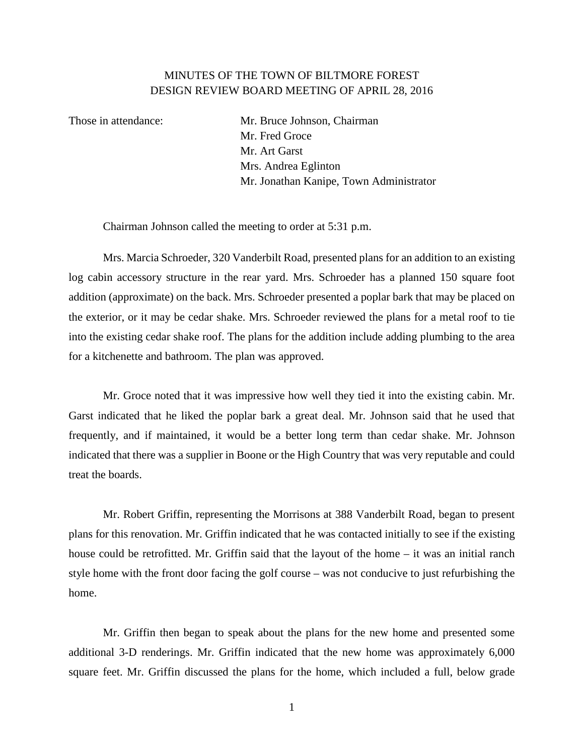## MINUTES OF THE TOWN OF BILTMORE FOREST DESIGN REVIEW BOARD MEETING OF APRIL 28, 2016

Those in attendance: Mr. Bruce Johnson, Chairman Mr. Fred Groce Mr. Art Garst Mrs. Andrea Eglinton Mr. Jonathan Kanipe, Town Administrator

Chairman Johnson called the meeting to order at 5:31 p.m.

Mrs. Marcia Schroeder, 320 Vanderbilt Road, presented plans for an addition to an existing log cabin accessory structure in the rear yard. Mrs. Schroeder has a planned 150 square foot addition (approximate) on the back. Mrs. Schroeder presented a poplar bark that may be placed on the exterior, or it may be cedar shake. Mrs. Schroeder reviewed the plans for a metal roof to tie into the existing cedar shake roof. The plans for the addition include adding plumbing to the area for a kitchenette and bathroom. The plan was approved.

Mr. Groce noted that it was impressive how well they tied it into the existing cabin. Mr. Garst indicated that he liked the poplar bark a great deal. Mr. Johnson said that he used that frequently, and if maintained, it would be a better long term than cedar shake. Mr. Johnson indicated that there was a supplier in Boone or the High Country that was very reputable and could treat the boards.

Mr. Robert Griffin, representing the Morrisons at 388 Vanderbilt Road, began to present plans for this renovation. Mr. Griffin indicated that he was contacted initially to see if the existing house could be retrofitted. Mr. Griffin said that the layout of the home – it was an initial ranch style home with the front door facing the golf course – was not conducive to just refurbishing the home.

Mr. Griffin then began to speak about the plans for the new home and presented some additional 3-D renderings. Mr. Griffin indicated that the new home was approximately 6,000 square feet. Mr. Griffin discussed the plans for the home, which included a full, below grade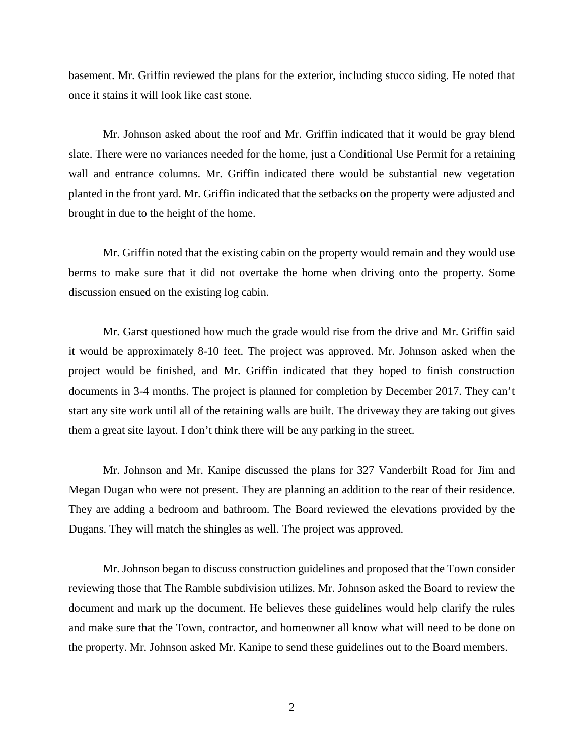basement. Mr. Griffin reviewed the plans for the exterior, including stucco siding. He noted that once it stains it will look like cast stone.

Mr. Johnson asked about the roof and Mr. Griffin indicated that it would be gray blend slate. There were no variances needed for the home, just a Conditional Use Permit for a retaining wall and entrance columns. Mr. Griffin indicated there would be substantial new vegetation planted in the front yard. Mr. Griffin indicated that the setbacks on the property were adjusted and brought in due to the height of the home.

Mr. Griffin noted that the existing cabin on the property would remain and they would use berms to make sure that it did not overtake the home when driving onto the property. Some discussion ensued on the existing log cabin.

Mr. Garst questioned how much the grade would rise from the drive and Mr. Griffin said it would be approximately 8-10 feet. The project was approved. Mr. Johnson asked when the project would be finished, and Mr. Griffin indicated that they hoped to finish construction documents in 3-4 months. The project is planned for completion by December 2017. They can't start any site work until all of the retaining walls are built. The driveway they are taking out gives them a great site layout. I don't think there will be any parking in the street.

Mr. Johnson and Mr. Kanipe discussed the plans for 327 Vanderbilt Road for Jim and Megan Dugan who were not present. They are planning an addition to the rear of their residence. They are adding a bedroom and bathroom. The Board reviewed the elevations provided by the Dugans. They will match the shingles as well. The project was approved.

Mr. Johnson began to discuss construction guidelines and proposed that the Town consider reviewing those that The Ramble subdivision utilizes. Mr. Johnson asked the Board to review the document and mark up the document. He believes these guidelines would help clarify the rules and make sure that the Town, contractor, and homeowner all know what will need to be done on the property. Mr. Johnson asked Mr. Kanipe to send these guidelines out to the Board members.